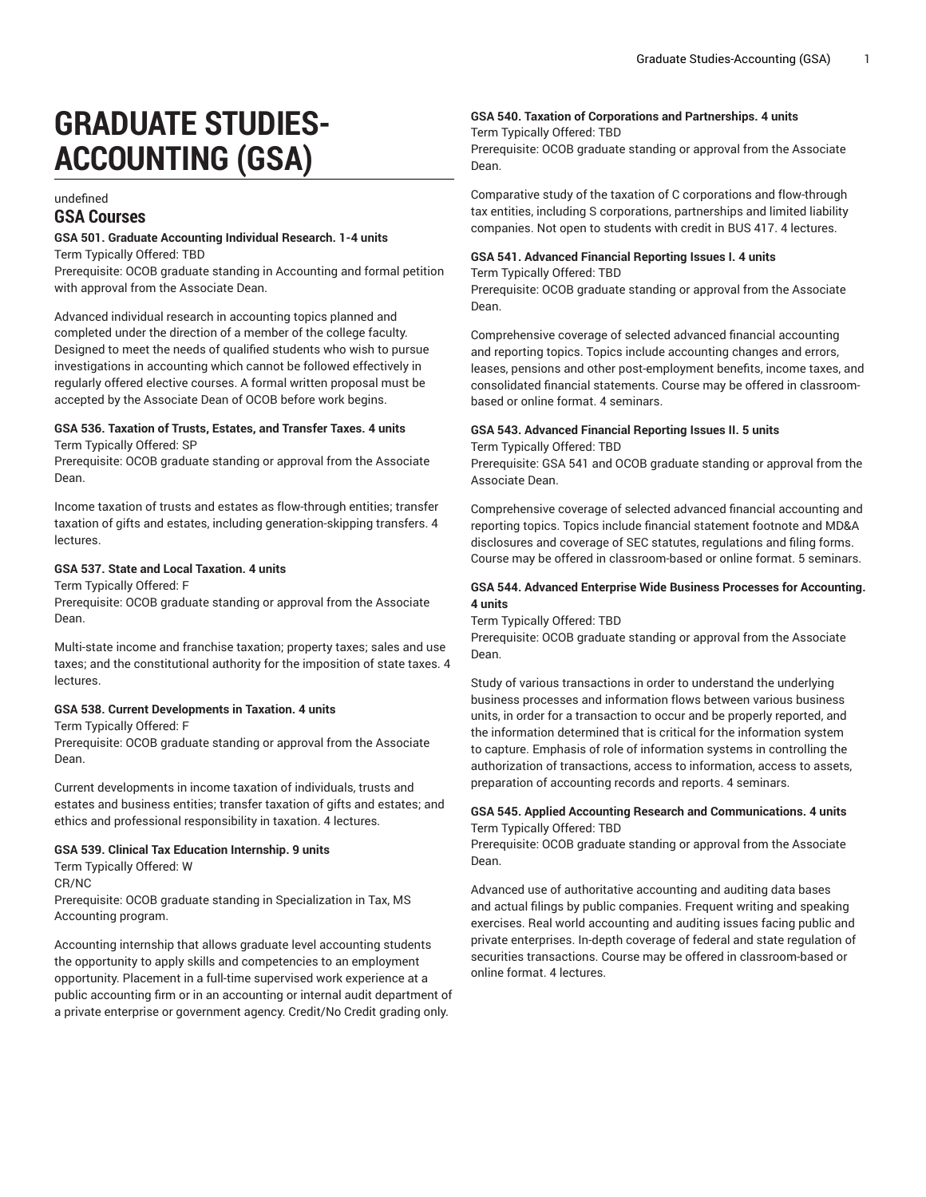# **GRADUATE STUDIES-ACCOUNTING (GSA)**

#### undefined **GSA Courses**

# **GSA 501. Graduate Accounting Individual Research. 1-4 units**

Term Typically Offered: TBD

Prerequisite: OCOB graduate standing in Accounting and formal petition with approval from the Associate Dean.

Advanced individual research in accounting topics planned and completed under the direction of a member of the college faculty. Designed to meet the needs of qualified students who wish to pursue investigations in accounting which cannot be followed effectively in regularly offered elective courses. A formal written proposal must be accepted by the Associate Dean of OCOB before work begins.

#### **GSA 536. Taxation of Trusts, Estates, and Transfer Taxes. 4 units** Term Typically Offered: SP

Prerequisite: OCOB graduate standing or approval from the Associate Dean.

Income taxation of trusts and estates as flow-through entities; transfer taxation of gifts and estates, including generation-skipping transfers. 4 lectures.

#### **GSA 537. State and Local Taxation. 4 units**

Term Typically Offered: F Prerequisite: OCOB graduate standing or approval from the Associate

Multi-state income and franchise taxation; property taxes; sales and use taxes; and the constitutional authority for the imposition of state taxes. 4 lectures.

#### **GSA 538. Current Developments in Taxation. 4 units**

Term Typically Offered: F

Prerequisite: OCOB graduate standing or approval from the Associate Dean.

Current developments in income taxation of individuals, trusts and estates and business entities; transfer taxation of gifts and estates; and ethics and professional responsibility in taxation. 4 lectures.

#### **GSA 539. Clinical Tax Education Internship. 9 units**

Term Typically Offered: W

CR/NC

Dean.

Prerequisite: OCOB graduate standing in Specialization in Tax, MS Accounting program.

Accounting internship that allows graduate level accounting students the opportunity to apply skills and competencies to an employment opportunity. Placement in a full-time supervised work experience at a public accounting firm or in an accounting or internal audit department of a private enterprise or government agency. Credit/No Credit grading only.

### **GSA 540. Taxation of Corporations and Partnerships. 4 units**

Term Typically Offered: TBD

Prerequisite: OCOB graduate standing or approval from the Associate Dean.

Comparative study of the taxation of C corporations and flow-through tax entities, including S corporations, partnerships and limited liability companies. Not open to students with credit in BUS 417. 4 lectures.

## **GSA 541. Advanced Financial Reporting Issues I. 4 units**

Term Typically Offered: TBD

Prerequisite: OCOB graduate standing or approval from the Associate Dean.

Comprehensive coverage of selected advanced financial accounting and reporting topics. Topics include accounting changes and errors, leases, pensions and other post-employment benefits, income taxes, and consolidated financial statements. Course may be offered in classroombased or online format. 4 seminars.

#### **GSA 543. Advanced Financial Reporting Issues II. 5 units** Term Typically Offered: TBD

Prerequisite: GSA 541 and OCOB graduate standing or approval from the Associate Dean.

Comprehensive coverage of selected advanced financial accounting and reporting topics. Topics include financial statement footnote and MD&A disclosures and coverage of SEC statutes, regulations and filing forms. Course may be offered in classroom-based or online format. 5 seminars.

#### **GSA 544. Advanced Enterprise Wide Business Processes for Accounting. 4 units**

Term Typically Offered: TBD

Prerequisite: OCOB graduate standing or approval from the Associate Dean.

Study of various transactions in order to understand the underlying business processes and information flows between various business units, in order for a transaction to occur and be properly reported, and the information determined that is critical for the information system to capture. Emphasis of role of information systems in controlling the authorization of transactions, access to information, access to assets, preparation of accounting records and reports. 4 seminars.

#### **GSA 545. Applied Accounting Research and Communications. 4 units** Term Typically Offered: TBD

Prerequisite: OCOB graduate standing or approval from the Associate Dean.

Advanced use of authoritative accounting and auditing data bases and actual filings by public companies. Frequent writing and speaking exercises. Real world accounting and auditing issues facing public and private enterprises. In-depth coverage of federal and state regulation of securities transactions. Course may be offered in classroom-based or online format. 4 lectures.